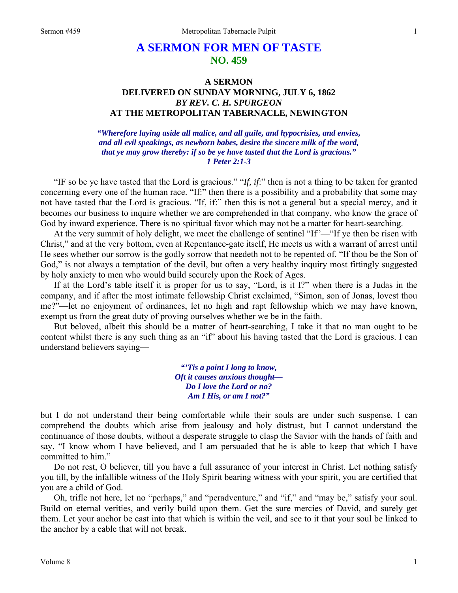## **A SERMON FOR MEN OF TASTE NO. 459**

## **A SERMON DELIVERED ON SUNDAY MORNING, JULY 6, 1862**  *BY REV. C. H. SPURGEON*  **AT THE METROPOLITAN TABERNACLE, NEWINGTON**

*"Wherefore laying aside all malice, and all guile, and hypocrisies, and envies, and all evil speakings, as newborn babes, desire the sincere milk of the word, that ye may grow thereby: if so be ye have tasted that the Lord is gracious." 1 Peter 2:1-3* 

"IF so be ye have tasted that the Lord is gracious." "*If, if*:" then is not a thing to be taken for granted concerning every one of the human race. "If:" then there is a possibility and a probability that some may not have tasted that the Lord is gracious. "If, if:" then this is not a general but a special mercy, and it becomes our business to inquire whether we are comprehended in that company, who know the grace of God by inward experience. There is no spiritual favor which may not be a matter for heart-searching.

At the very summit of holy delight, we meet the challenge of sentinel "If"—"If ye then be risen with Christ," and at the very bottom, even at Repentance-gate itself, He meets us with a warrant of arrest until He sees whether our sorrow is the godly sorrow that needeth not to be repented of. "If thou be the Son of God," is not always a temptation of the devil, but often a very healthy inquiry most fittingly suggested by holy anxiety to men who would build securely upon the Rock of Ages.

If at the Lord's table itself it is proper for us to say, "Lord, is it I?" when there is a Judas in the company, and if after the most intimate fellowship Christ exclaimed, "Simon, son of Jonas, lovest thou me?"—let no enjoyment of ordinances, let no high and rapt fellowship which we may have known, exempt us from the great duty of proving ourselves whether we be in the faith.

But beloved, albeit this should be a matter of heart-searching, I take it that no man ought to be content whilst there is any such thing as an "if" about his having tasted that the Lord is gracious. I can understand believers saying—

> *"'Tis a point I long to know, Oft it causes anxious thought— Do I love the Lord or no? Am I His, or am I not?"*

but I do not understand their being comfortable while their souls are under such suspense. I can comprehend the doubts which arise from jealousy and holy distrust, but I cannot understand the continuance of those doubts, without a desperate struggle to clasp the Savior with the hands of faith and say, "I know whom I have believed, and I am persuaded that he is able to keep that which I have committed to him."

Do not rest, O believer, till you have a full assurance of your interest in Christ. Let nothing satisfy you till, by the infallible witness of the Holy Spirit bearing witness with your spirit, you are certified that you are a child of God.

Oh, trifle not here, let no "perhaps," and "peradventure," and "if," and "may be," satisfy your soul. Build on eternal verities, and verily build upon them. Get the sure mercies of David, and surely get them. Let your anchor be cast into that which is within the veil, and see to it that your soul be linked to the anchor by a cable that will not break.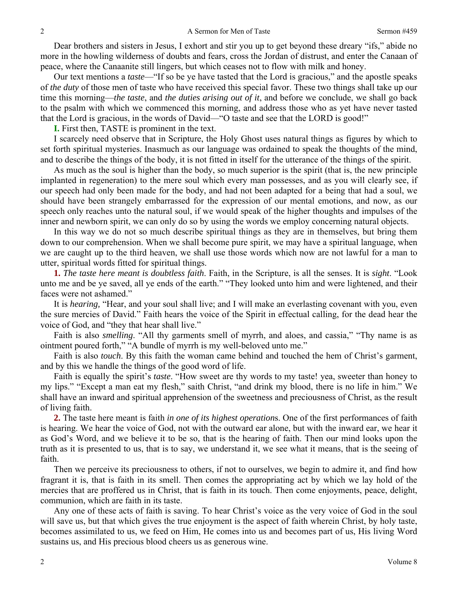Dear brothers and sisters in Jesus, I exhort and stir you up to get beyond these dreary "ifs," abide no more in the howling wilderness of doubts and fears, cross the Jordan of distrust, and enter the Canaan of peace, where the Canaanite still lingers, but which ceases not to flow with milk and honey.

Our text mentions a *taste*—"If so be ye have tasted that the Lord is gracious," and the apostle speaks of *the duty* of those men of taste who have received this special favor. These two things shall take up our time this morning—*the taste*, and *the duties arising out of it*, and before we conclude, we shall go back to the psalm with which we commenced this morning, and address those who as yet have never tasted that the Lord is gracious, in the words of David—"O taste and see that the LORD is good!"

**I.** First then, TASTE is prominent in the text.

I scarcely need observe that in Scripture, the Holy Ghost uses natural things as figures by which to set forth spiritual mysteries. Inasmuch as our language was ordained to speak the thoughts of the mind, and to describe the things of the body, it is not fitted in itself for the utterance of the things of the spirit.

As much as the soul is higher than the body, so much superior is the spirit (that is, the new principle implanted in regeneration) to the mere soul which every man possesses, and as you will clearly see, if our speech had only been made for the body, and had not been adapted for a being that had a soul, we should have been strangely embarrassed for the expression of our mental emotions, and now, as our speech only reaches unto the natural soul, if we would speak of the higher thoughts and impulses of the inner and newborn spirit, we can only do so by using the words we employ concerning natural objects.

In this way we do not so much describe spiritual things as they are in themselves, but bring them down to our comprehension. When we shall become pure spirit, we may have a spiritual language, when we are caught up to the third heaven, we shall use those words which now are not lawful for a man to utter, spiritual words fitted for spiritual things.

**1.** *The taste here meant is doubtless faith*. Faith, in the Scripture, is all the senses. It is *sight*. "Look unto me and be ye saved, all ye ends of the earth." "They looked unto him and were lightened, and their faces were not ashamed."

It is *hearing,* "Hear, and your soul shall live; and I will make an everlasting covenant with you, even the sure mercies of David." Faith hears the voice of the Spirit in effectual calling, for the dead hear the voice of God, and "they that hear shall live."

Faith is also *smelling*. "All thy garments smell of myrrh, and aloes, and cassia," "Thy name is as ointment poured forth," "A bundle of myrrh is my well-beloved unto me."

Faith is also *touch*. By this faith the woman came behind and touched the hem of Christ's garment, and by this we handle the things of the good word of life.

Faith is equally the spirit's *taste*. "How sweet are thy words to my taste! yea, sweeter than honey to my lips." "Except a man eat my flesh," saith Christ, "and drink my blood, there is no life in him." We shall have an inward and spiritual apprehension of the sweetness and preciousness of Christ, as the result of living faith.

**2.** The taste here meant is faith *in one of its highest operation*s. One of the first performances of faith is hearing. We hear the voice of God, not with the outward ear alone, but with the inward ear, we hear it as God's Word, and we believe it to be so, that is the hearing of faith. Then our mind looks upon the truth as it is presented to us, that is to say, we understand it, we see what it means, that is the seeing of faith.

Then we perceive its preciousness to others, if not to ourselves, we begin to admire it, and find how fragrant it is, that is faith in its smell. Then comes the appropriating act by which we lay hold of the mercies that are proffered us in Christ, that is faith in its touch. Then come enjoyments, peace, delight, communion, which are faith in its taste.

Any one of these acts of faith is saving. To hear Christ's voice as the very voice of God in the soul will save us, but that which gives the true enjoyment is the aspect of faith wherein Christ, by holy taste, becomes assimilated to us, we feed on Him, He comes into us and becomes part of us, His living Word sustains us, and His precious blood cheers us as generous wine.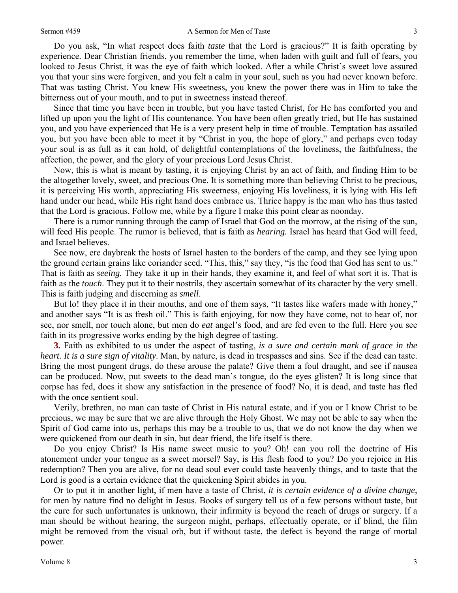## Sermon #459 A Sermon for Men of Taste

Do you ask, "In what respect does faith *taste* that the Lord is gracious?" It is faith operating by experience*.* Dear Christian friends, you remember the time, when laden with guilt and full of fears, you looked to Jesus Christ, it was the eye of faith which looked. After a while Christ's sweet love assured you that your sins were forgiven, and you felt a calm in your soul, such as you had never known before. That was tasting Christ. You knew His sweetness, you knew the power there was in Him to take the bitterness out of your mouth, and to put in sweetness instead thereof.

Since that time you have been in trouble, but you have tasted Christ, for He has comforted you and lifted up upon you the light of His countenance. You have been often greatly tried, but He has sustained you, and you have experienced that He is a very present help in time of trouble. Temptation has assailed you, but you have been able to meet it by "Christ in you, the hope of glory," and perhaps even today your soul is as full as it can hold, of delightful contemplations of the loveliness, the faithfulness, the affection, the power, and the glory of your precious Lord Jesus Christ.

Now, this is what is meant by tasting, it is enjoying Christ by an act of faith, and finding Him to be the altogether lovely, sweet, and precious One. It is something more than believing Christ to be precious, it is perceiving His worth, appreciating His sweetness, enjoying His loveliness, it is lying with His left hand under our head, while His right hand does embrace us. Thrice happy is the man who has thus tasted that the Lord is gracious. Follow me, while by a figure I make this point clear as noonday.

There is a rumor running through the camp of Israel that God on the morrow, at the rising of the sun, will feed His people. The rumor is believed, that is faith as *hearing.* Israel has heard that God will feed, and Israel believes.

See now, ere daybreak the hosts of Israel hasten to the borders of the camp, and they see lying upon the ground certain grains like coriander seed. "This, this," say they, "is the food that God has sent to us." That is faith as *seeing.* They take it up in their hands, they examine it, and feel of what sort it is. That is faith as the *touch*. They put it to their nostrils, they ascertain somewhat of its character by the very smell. This is faith judging and discerning as *smell*.

But lo! they place it in their mouths, and one of them says, "It tastes like wafers made with honey," and another says "It is as fresh oil." This is faith enjoying, for now they have come, not to hear of, nor see, nor smell, nor touch alone, but men do *eat* angel's food, and are fed even to the full. Here you see faith in its progressive works ending by the high degree of tasting.

**3.** Faith as exhibited to us under the aspect of tasting, *is a sure and certain mark of grace in the heart. It is a sure sign of vitality*. Man, by nature, is dead in trespasses and sins. See if the dead can taste. Bring the most pungent drugs, do these arouse the palate? Give them a foul draught, and see if nausea can be produced. Now, put sweets to the dead man's tongue, do the eyes glisten? It is long since that corpse has fed, does it show any satisfaction in the presence of food? No, it is dead, and taste has fled with the once sentient soul.

Verily, brethren, no man can taste of Christ in His natural estate, and if you or I know Christ to be precious, we may be sure that we are alive through the Holy Ghost. We may not be able to say when the Spirit of God came into us, perhaps this may be a trouble to us, that we do not know the day when we were quickened from our death in sin, but dear friend, the life itself is there.

Do you enjoy Christ? Is His name sweet music to you? Oh! can you roll the doctrine of His atonement under your tongue as a sweet morsel? Say, is His flesh food to you? Do you rejoice in His redemption? Then you are alive, for no dead soul ever could taste heavenly things, and to taste that the Lord is good is a certain evidence that the quickening Spirit abides in you.

Or to put it in another light, if men have a taste of Christ, *it is certain evidence of a divine change*, for men by nature find no delight in Jesus. Books of surgery tell us of a few persons without taste, but the cure for such unfortunates is unknown, their infirmity is beyond the reach of drugs or surgery. If a man should be without hearing, the surgeon might, perhaps, effectually operate, or if blind, the film might be removed from the visual orb, but if without taste, the defect is beyond the range of mortal power.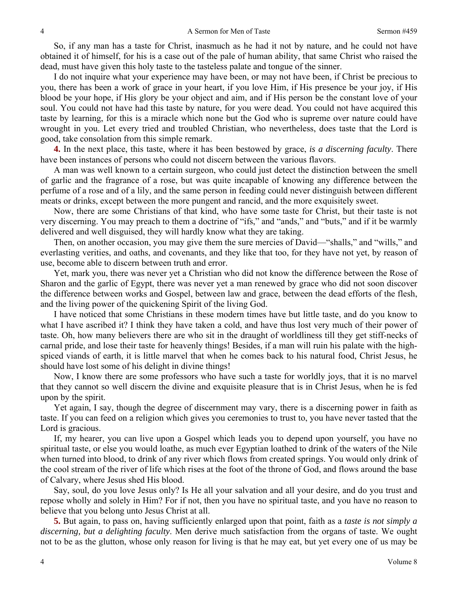So, if any man has a taste for Christ, inasmuch as he had it not by nature, and he could not have obtained it of himself, for his is a case out of the pale of human ability, that same Christ who raised the dead, must have given this holy taste to the tasteless palate and tongue of the sinner.

I do not inquire what your experience may have been, or may not have been, if Christ be precious to you, there has been a work of grace in your heart, if you love Him, if His presence be your joy, if His blood be your hope, if His glory be your object and aim, and if His person be the constant love of your soul. You could not have had this taste by nature, for you were dead. You could not have acquired this taste by learning, for this is a miracle which none but the God who is supreme over nature could have wrought in you. Let every tried and troubled Christian, who nevertheless, does taste that the Lord is good, take consolation from this simple remark.

**4.** In the next place, this taste, where it has been bestowed by grace, *is a discerning faculty*. There have been instances of persons who could not discern between the various flavors.

A man was well known to a certain surgeon, who could just detect the distinction between the smell of garlic and the fragrance of a rose, but was quite incapable of knowing any difference between the perfume of a rose and of a lily, and the same person in feeding could never distinguish between different meats or drinks, except between the more pungent and rancid, and the more exquisitely sweet.

Now, there are some Christians of that kind, who have some taste for Christ, but their taste is not very discerning. You may preach to them a doctrine of "ifs," and "ands," and "buts," and if it be warmly delivered and well disguised, they will hardly know what they are taking.

Then, on another occasion, you may give them the sure mercies of David—"shalls," and "wills," and everlasting verities, and oaths, and covenants, and they like that too, for they have not yet, by reason of use, become able to discern between truth and error.

Yet, mark you, there was never yet a Christian who did not know the difference between the Rose of Sharon and the garlic of Egypt, there was never yet a man renewed by grace who did not soon discover the difference between works and Gospel, between law and grace, between the dead efforts of the flesh, and the living power of the quickening Spirit of the living God.

I have noticed that some Christians in these modern times have but little taste, and do you know to what I have ascribed it? I think they have taken a cold, and have thus lost very much of their power of taste. Oh, how many believers there are who sit in the draught of worldliness till they get stiff-necks of carnal pride, and lose their taste for heavenly things! Besides, if a man will ruin his palate with the highspiced viands of earth, it is little marvel that when he comes back to his natural food, Christ Jesus, he should have lost some of his delight in divine things!

Now, I know there are some professors who have such a taste for worldly joys, that it is no marvel that they cannot so well discern the divine and exquisite pleasure that is in Christ Jesus, when he is fed upon by the spirit.

Yet again, I say, though the degree of discernment may vary, there is a discerning power in faith as taste. If you can feed on a religion which gives you ceremonies to trust to, you have never tasted that the Lord is gracious.

If, my hearer, you can live upon a Gospel which leads you to depend upon yourself, you have no spiritual taste, or else you would loathe, as much ever Egyptian loathed to drink of the waters of the Nile when turned into blood, to drink of any river which flows from created springs. You would only drink of the cool stream of the river of life which rises at the foot of the throne of God, and flows around the base of Calvary, where Jesus shed His blood.

Say, soul, do you love Jesus only? Is He all your salvation and all your desire, and do you trust and repose wholly and solely in Him? For if not, then you have no spiritual taste, and you have no reason to believe that you belong unto Jesus Christ at all.

**5.** But again, to pass on, having sufficiently enlarged upon that point, faith as a *taste is not simply a discerning, but a delighting faculty*. Men derive much satisfaction from the organs of taste. We ought not to be as the glutton, whose only reason for living is that he may eat, but yet every one of us may be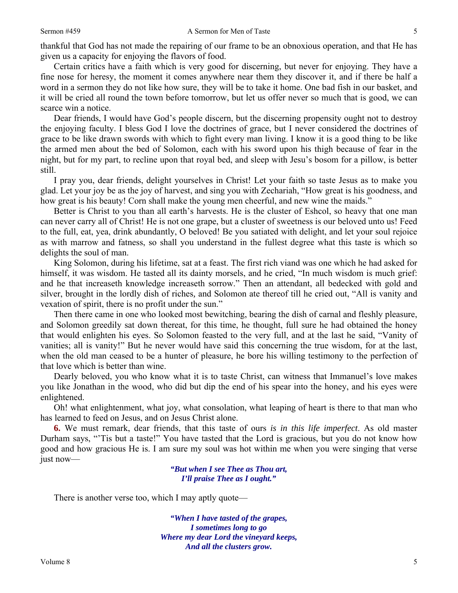thankful that God has not made the repairing of our frame to be an obnoxious operation, and that He has given us a capacity for enjoying the flavors of food.

Certain critics have a faith which is very good for discerning, but never for enjoying. They have a fine nose for heresy, the moment it comes anywhere near them they discover it, and if there be half a word in a sermon they do not like how sure, they will be to take it home. One bad fish in our basket, and it will be cried all round the town before tomorrow, but let us offer never so much that is good, we can scarce win a notice.

Dear friends, I would have God's people discern, but the discerning propensity ought not to destroy the enjoying faculty. I bless God I love the doctrines of grace, but I never considered the doctrines of grace to be like drawn swords with which to fight every man living. I know it is a good thing to be like the armed men about the bed of Solomon, each with his sword upon his thigh because of fear in the night, but for my part, to recline upon that royal bed, and sleep with Jesu's bosom for a pillow, is better still.

I pray you, dear friends, delight yourselves in Christ! Let your faith so taste Jesus as to make you glad. Let your joy be as the joy of harvest, and sing you with Zechariah, "How great is his goodness, and how great is his beauty! Corn shall make the young men cheerful, and new wine the maids."

Better is Christ to you than all earth's harvests. He is the cluster of Eshcol, so heavy that one man can never carry all of Christ! He is not one grape, but a cluster of sweetness is our beloved unto us! Feed to the full, eat, yea, drink abundantly, O beloved! Be you satiated with delight, and let your soul rejoice as with marrow and fatness, so shall you understand in the fullest degree what this taste is which so delights the soul of man.

King Solomon, during his lifetime, sat at a feast. The first rich viand was one which he had asked for himself, it was wisdom. He tasted all its dainty morsels, and he cried, "In much wisdom is much grief: and he that increaseth knowledge increaseth sorrow." Then an attendant, all bedecked with gold and silver, brought in the lordly dish of riches*,* and Solomon ate thereof till he cried out, "All is vanity and vexation of spirit, there is no profit under the sun."

Then there came in one who looked most bewitching, bearing the dish of carnal and fleshly pleasure, and Solomon greedily sat down thereat, for this time, he thought, full sure he had obtained the honey that would enlighten his eyes. So Solomon feasted to the very full, and at the last he said, "Vanity of vanities; all is vanity!" But he never would have said this concerning the true wisdom, for at the last, when the old man ceased to be a hunter of pleasure, he bore his willing testimony to the perfection of that love which is better than wine.

Dearly beloved, you who know what it is to taste Christ, can witness that Immanuel's love makes you like Jonathan in the wood, who did but dip the end of his spear into the honey, and his eyes were enlightened.

Oh! what enlightenment, what joy, what consolation, what leaping of heart is there to that man who has learned to feed on Jesus, and on Jesus Christ alone.

**6.** We must remark, dear friends, that this taste of ours *is in this life imperfect*. As old master Durham says, "'Tis but a taste!" You have tasted that the Lord is gracious, but you do not know how good and how gracious He is. I am sure my soul was hot within me when you were singing that verse just now—

> *"But when I see Thee as Thou art, I'll praise Thee as I ought."*

There is another verse too, which I may aptly quote—

*"When I have tasted of the grapes, I sometimes long to go Where my dear Lord the vineyard keeps, And all the clusters grow.*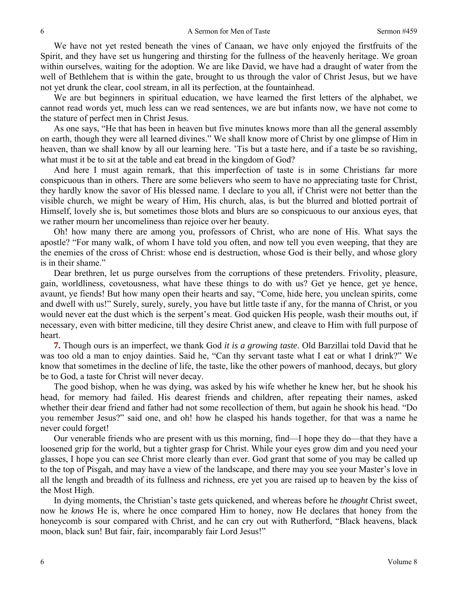We have not yet rested beneath the vines of Canaan, we have only enjoyed the firstfruits of the Spirit, and they have set us hungering and thirsting for the fullness of the heavenly heritage. We groan within ourselves, waiting for the adoption. We are like David, we have had a draught of water from the well of Bethlehem that is within the gate, brought to us through the valor of Christ Jesus, but we have not yet drunk the clear, cool stream, in all its perfection, at the fountainhead.

We are but beginners in spiritual education, we have learned the first letters of the alphabet, we cannot read words yet, much less can we read sentences, we are but infants now, we have not come to the stature of perfect men in Christ Jesus.

As one says, "He that has been in heaven but five minutes knows more than all the general assembly on earth, though they were all learned divines." We shall know more of Christ by one glimpse of Him in heaven, than we shall know by all our learning here. 'Tis but a taste here, and if a taste be so ravishing, what must it be to sit at the table and eat bread in the kingdom of God?

And here I must again remark, that this imperfection of taste is in some Christians far more conspicuous than in others. There are some believers who seem to have no appreciating taste for Christ, they hardly know the savor of His blessed name. I declare to you all, if Christ were not better than the visible church, we might be weary of Him, His church, alas, is but the blurred and blotted portrait of Himself, lovely she is, but sometimes those blots and blurs are so conspicuous to our anxious eyes, that we rather mourn her uncomeliness than rejoice over her beauty.

Oh! how many there are among you, professors of Christ, who are none of His. What says the apostle? "For many walk, of whom I have told you often, and now tell you even weeping, that they are the enemies of the cross of Christ: whose end is destruction, whose God is their belly, and whose glory is in their shame."

Dear brethren, let us purge ourselves from the corruptions of these pretenders. Frivolity, pleasure, gain, worldliness, covetousness, what have these things to do with us? Get ye hence, get ye hence, avaunt, ye fiends! But how many open their hearts and say, "Come, hide here, you unclean spirits, come and dwell with us!" Surely, surely, surely, you have but little taste if any, for the manna of Christ, or you would never eat the dust which is the serpent's meat. God quicken His people, wash their mouths out, if necessary, even with bitter medicine, till they desire Christ anew, and cleave to Him with full purpose of heart.

**7.** Though ours is an imperfect, we thank God *it is a growing taste*. Old Barzillai told David that he was too old a man to enjoy dainties. Said he, "Can thy servant taste what I eat or what I drink?" We know that sometimes in the decline of life, the taste, like the other powers of manhood, decays, but glory be to God, a taste for Christ will never decay.

The good bishop, when he was dying, was asked by his wife whether he knew her, but he shook his head, for memory had failed. His dearest friends and children, after repeating their names, asked whether their dear friend and father had not some recollection of them, but again he shook his head. "Do you remember Jesus?" said one, and oh! how he clasped his hands together, for that was a name he never could forget!

Our venerable friends who are present with us this morning, find—I hope they do—that they have a loosened grip for the world, but a tighter grasp for Christ. While your eyes grow dim and you need your glasses, I hope you can see Christ more clearly than ever. God grant that some of you may be called up to the top of Pisgah, and may have a view of the landscape, and there may you see your Master's love in all the length and breadth of its fullness and richness, ere yet you are raised up to heaven by the kiss of the Most High.

In dying moments, the Christian's taste gets quickened, and whereas before he *thought* Christ sweet, now he *knows* He is, where he once compared Him to honey, now He declares that honey from the honeycomb is sour compared with Christ, and he can cry out with Rutherford, "Black heavens, black moon, black sun! But fair, fair, incomparably fair Lord Jesus!"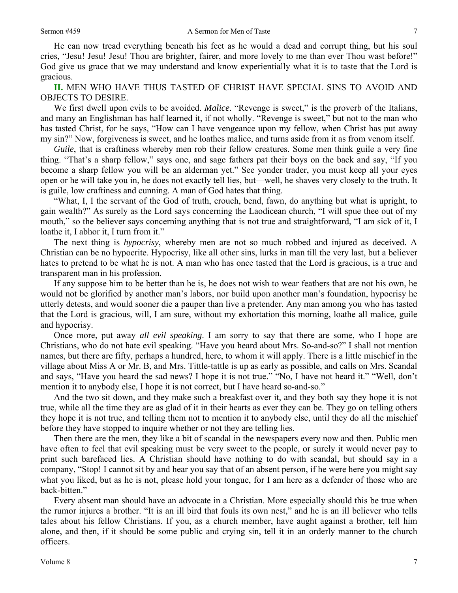7

He can now tread everything beneath his feet as he would a dead and corrupt thing, but his soul cries, "Jesu! Jesu! Jesu! Thou are brighter, fairer, and more lovely to me than ever Thou wast before!" God give us grace that we may understand and know experientially what it is to taste that the Lord is gracious.

**II.** MEN WHO HAVE THUS TASTED OF CHRIST HAVE SPECIAL SINS TO AVOID AND OBJECTS TO DESIRE.

We first dwell upon evils to be avoided. *Malice*. "Revenge is sweet," is the proverb of the Italians, and many an Englishman has half learned it, if not wholly. "Revenge is sweet," but not to the man who has tasted Christ, for he says, "How can I have vengeance upon my fellow, when Christ has put away my sin?" Now, forgiveness is sweet, and he loathes malice, and turns aside from it as from venom itself.

*Guile*, that is craftiness whereby men rob their fellow creatures. Some men think guile a very fine thing. "That's a sharp fellow," says one, and sage fathers pat their boys on the back and say, "If you become a sharp fellow you will be an alderman yet." See yonder trader, you must keep all your eyes open or he will take you in, he does not exactly tell lies, but—well, he shaves very closely to the truth. It is guile, low craftiness and cunning. A man of God hates that thing.

"What, I, I the servant of the God of truth, crouch, bend, fawn, do anything but what is upright, to gain wealth?" As surely as the Lord says concerning the Laodicean church, "I will spue thee out of my mouth," so the believer says concerning anything that is not true and straightforward, "I am sick of it, I loathe it, I abhor it, I turn from it."

The next thing is *hypocrisy*, whereby men are not so much robbed and injured as deceived. A Christian can be no hypocrite. Hypocrisy, like all other sins, lurks in man till the very last, but a believer hates to pretend to be what he is not. A man who has once tasted that the Lord is gracious, is a true and transparent man in his profession.

If any suppose him to be better than he is, he does not wish to wear feathers that are not his own, he would not be glorified by another man's labors, nor build upon another man's foundation, hypocrisy he utterly detests, and would sooner die a pauper than live a pretender. Any man among you who has tasted that the Lord is gracious, will, I am sure, without my exhortation this morning, loathe all malice, guile and hypocrisy.

Once more, put away *all evil speaking*. I am sorry to say that there are some, who I hope are Christians, who do not hate evil speaking. "Have you heard about Mrs. So-and-so?" I shall not mention names, but there are fifty, perhaps a hundred, here, to whom it will apply. There is a little mischief in the village about Miss A or Mr. B, and Mrs. Tittle-tattle is up as early as possible, and calls on Mrs. Scandal and says, "Have you heard the sad news? I hope it is not true." "No, I have not heard it." "Well, don't mention it to anybody else, I hope it is not correct, but I have heard so-and-so."

And the two sit down, and they make such a breakfast over it, and they both say they hope it is not true, while all the time they are as glad of it in their hearts as ever they can be. They go on telling others they hope it is not true, and telling them not to mention it to anybody else, until they do all the mischief before they have stopped to inquire whether or not they are telling lies.

Then there are the men, they like a bit of scandal in the newspapers every now and then. Public men have often to feel that evil speaking must be very sweet to the people, or surely it would never pay to print such barefaced lies. A Christian should have nothing to do with scandal, but should say in a company, "Stop! I cannot sit by and hear you say that of an absent person, if he were here you might say what you liked, but as he is not, please hold your tongue, for I am here as a defender of those who are back-bitten."

Every absent man should have an advocate in a Christian. More especially should this be true when the rumor injures a brother. "It is an ill bird that fouls its own nest," and he is an ill believer who tells tales about his fellow Christians. If you, as a church member, have aught against a brother, tell him alone, and then, if it should be some public and crying sin, tell it in an orderly manner to the church officers.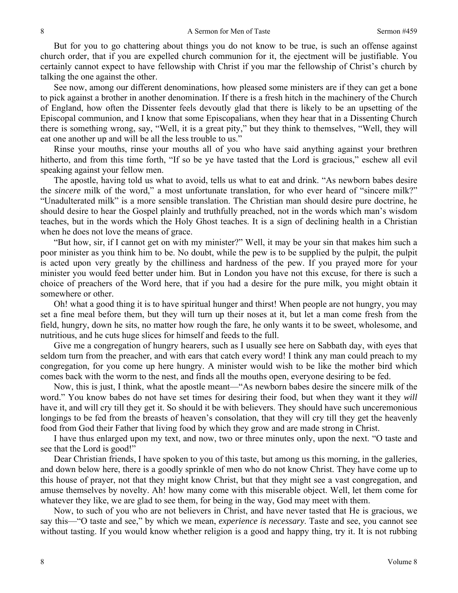But for you to go chattering about things you do not know to be true, is such an offense against church order, that if you are expelled church communion for it, the ejectment will be justifiable. You certainly cannot expect to have fellowship with Christ if you mar the fellowship of Christ's church by talking the one against the other.

See now, among our different denominations, how pleased some ministers are if they can get a bone to pick against a brother in another denomination. If there is a fresh hitch in the machinery of the Church of England, how often the Dissenter feels devoutly glad that there is likely to be an upsetting of the Episcopal communion, and I know that some Episcopalians, when they hear that in a Dissenting Church there is something wrong, say, "Well, it is a great pity," but they think to themselves, "Well, they will eat one another up and will be all the less trouble to us."

Rinse your mouths, rinse your mouths all of you who have said anything against your brethren hitherto, and from this time forth, "If so be ye have tasted that the Lord is gracious," eschew all evil speaking against your fellow men.

The apostle, having told us what to avoid, tells us what to eat and drink. "As newborn babes desire the *sincere* milk of the word," a most unfortunate translation, for who ever heard of "sincere milk?" "Unadulterated milk" is a more sensible translation. The Christian man should desire pure doctrine, he should desire to hear the Gospel plainly and truthfully preached, not in the words which man's wisdom teaches, but in the words which the Holy Ghost teaches. It is a sign of declining health in a Christian when he does not love the means of grace.

"But how, sir, if I cannot get on with my minister?" Well, it may be your sin that makes him such a poor minister as you think him to be. No doubt, while the pew is to be supplied by the pulpit, the pulpit is acted upon very greatly by the chilliness and hardness of the pew. If you prayed more for your minister you would feed better under him. But in London you have not this excuse, for there is such a choice of preachers of the Word here, that if you had a desire for the pure milk, you might obtain it somewhere or other.

Oh! what a good thing it is to have spiritual hunger and thirst! When people are not hungry, you may set a fine meal before them, but they will turn up their noses at it, but let a man come fresh from the field, hungry, down he sits, no matter how rough the fare, he only wants it to be sweet, wholesome, and nutritious, and he cuts huge slices for himself and feeds to the full.

Give me a congregation of hungry hearers, such as I usually see here on Sabbath day, with eyes that seldom turn from the preacher, and with ears that catch every word! I think any man could preach to my congregation, for you come up here hungry. A minister would wish to be like the mother bird which comes back with the worm to the nest, and finds all the mouths open, everyone desiring to be fed.

Now, this is just, I think, what the apostle meant—"As newborn babes desire the sincere milk of the word." You know babes do not have set times for desiring their food, but when they want it they *will*  have it, and will cry till they get it. So should it be with believers. They should have such unceremonious longings to be fed from the breasts of heaven's consolation, that they will cry till they get the heavenly food from God their Father that living food by which they grow and are made strong in Christ.

I have thus enlarged upon my text, and now, two or three minutes only, upon the next. "O taste and see that the Lord is good!"

Dear Christian friends, I have spoken to you of this taste, but among us this morning, in the galleries, and down below here, there is a goodly sprinkle of men who do not know Christ. They have come up to this house of prayer, not that they might know Christ, but that they might see a vast congregation, and amuse themselves by novelty. Ah! how many come with this miserable object. Well, let them come for whatever they like, we are glad to see them, for being in the way, God may meet with them.

Now, to such of you who are not believers in Christ, and have never tasted that He is gracious, we say this—"O taste and see," by which we mean, *experience is necessary*. Taste and see, you cannot see without tasting. If you would know whether religion is a good and happy thing, try it. It is not rubbing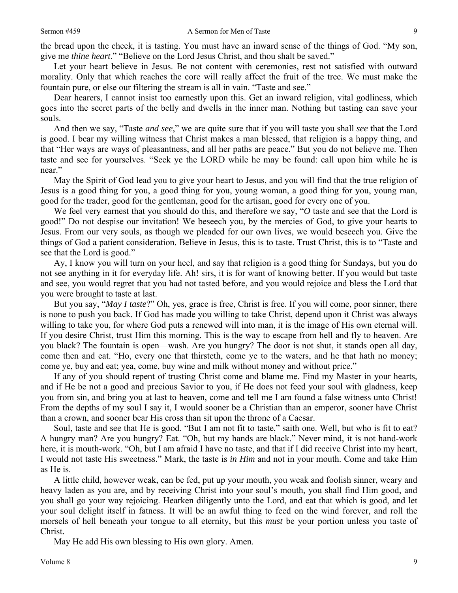Let your heart believe in Jesus. Be not content with ceremonies, rest not satisfied with outward morality. Only that which reaches the core will really affect the fruit of the tree. We must make the fountain pure, or else our filtering the stream is all in vain. "Taste and see."

Dear hearers, I cannot insist too earnestly upon this. Get an inward religion, vital godliness, which goes into the secret parts of the belly and dwells in the inner man. Nothing but tasting can save your souls.

And then we say, "Taste *and see*," we are quite sure that if you will taste you shall *see* that the Lord is good. I bear my willing witness that Christ makes a man blessed, that religion is a happy thing, and that "Her ways are ways of pleasantness, and all her paths are peace." But you do not believe me. Then taste and see for yourselves. "Seek ye the LORD while he may be found: call upon him while he is near."

May the Spirit of God lead you to give your heart to Jesus, and you will find that the true religion of Jesus is a good thing for you, a good thing for you, young woman, a good thing for you, young man, good for the trader, good for the gentleman, good for the artisan, good for every one of you.

We feel very earnest that you should do this, and therefore we say, "*O* taste and see that the Lord is good!" Do not despise our invitation! We beseech you, by the mercies of God, to give your hearts to Jesus. From our very souls, as though we pleaded for our own lives, we would beseech you. Give the things of God a patient consideration. Believe in Jesus, this is to taste. Trust Christ, this is to "Taste and see that the Lord is good."

Ay, I know you will turn on your heel, and say that religion is a good thing for Sundays, but you do not see anything in it for everyday life. Ah! sirs, it is for want of knowing better. If you would but taste and see, you would regret that you had not tasted before, and you would rejoice and bless the Lord that you were brought to taste at last.

But you say, "*May I taste*?" Oh, yes, grace is free, Christ is free. If you will come, poor sinner, there is none to push you back. If God has made you willing to take Christ, depend upon it Christ was always willing to take you, for where God puts a renewed will into man, it is the image of His own eternal will. If you desire Christ, trust Him this morning. This is the way to escape from hell and fly to heaven. Are you black? The fountain is open—wash. Are you hungry? The door is not shut, it stands open all day, come then and eat. "Ho, every one that thirsteth, come ye to the waters, and he that hath no money; come ye, buy and eat; yea, come, buy wine and milk without money and without price."

If any of you should repent of trusting Christ come and blame me. Find my Master in your hearts, and if He be not a good and precious Savior to you, if He does not feed your soul with gladness, keep you from sin, and bring you at last to heaven, come and tell me I am found a false witness unto Christ! From the depths of my soul I say it, I would sooner be a Christian than an emperor, sooner have Christ than a crown, and sooner bear His cross than sit upon the throne of a Caesar.

Soul, taste and see that He is good. "But I am not fit to taste," saith one. Well, but who is fit to eat? A hungry man? Are you hungry? Eat. "Oh, but my hands are black." Never mind, it is not hand-work here, it is mouth-work. "Oh, but I am afraid I have no taste, and that if I did receive Christ into my heart, I would not taste His sweetness." Mark, the taste is *in Him* and not in your mouth. Come and take Him as He is.

A little child, however weak, can be fed, put up your mouth, you weak and foolish sinner, weary and heavy laden as you are, and by receiving Christ into your soul's mouth, you shall find Him good, and you shall go your way rejoicing. Hearken diligently unto the Lord, and eat that which is good, and let your soul delight itself in fatness. It will be an awful thing to feed on the wind forever, and roll the morsels of hell beneath your tongue to all eternity, but this *must* be your portion unless you taste of Christ.

May He add His own blessing to His own glory. Amen.